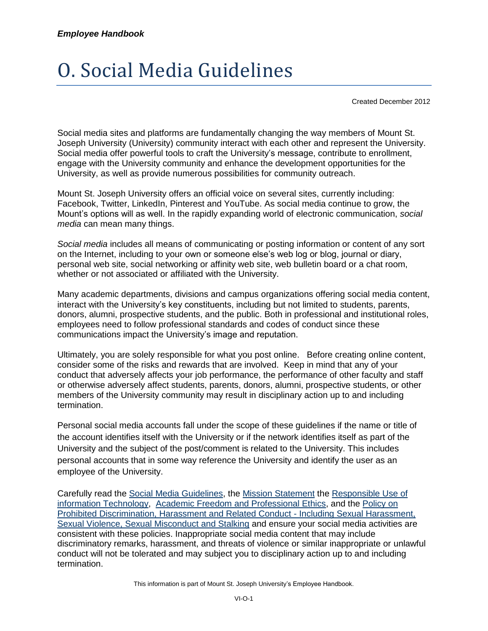# O. Social Media Guidelines

Created December 2012

Social media sites and platforms are fundamentally changing the way members of Mount St. Joseph University (University) community interact with each other and represent the University. Social media offer powerful tools to craft the University's message, contribute to enrollment, engage with the University community and enhance the development opportunities for the University, as well as provide numerous possibilities for community outreach.

Mount St. Joseph University offers an official voice on several sites, currently including: Facebook, Twitter, LinkedIn, Pinterest and YouTube. As social media continue to grow, the Mount's options will as well. In the rapidly expanding world of electronic communication, *social media* can mean many things.

*Social media* includes all means of communicating or posting information or content of any sort on the Internet, including to your own or someone else's web log or blog, journal or diary, personal web site, social networking or affinity web site, web bulletin board or a chat room, whether or not associated or affiliated with the University.

Many academic departments, divisions and campus organizations offering social media content, interact with the University's key constituents, including but not limited to students, parents, donors, alumni, prospective students, and the public. Both in professional and institutional roles, employees need to follow professional standards and codes of conduct since these communications impact the University's image and reputation.

Ultimately, you are solely responsible for what you post online. Before creating online content, consider some of the risks and rewards that are involved. Keep in mind that any of your conduct that adversely affects your job performance, the performance of other faculty and staff or otherwise adversely affect students, parents, donors, alumni, prospective students, or other members of the University community may result in disciplinary action up to and including termination.

Personal social media accounts fall under the scope of these guidelines if the name or title of the account identifies itself with the University or if the network identifies itself as part of the University and the subject of the post/comment is related to the University. This includes personal accounts that in some way reference the University and identify the user as an employee of the University.

Carefully read the [Social Media Guidelines,](https://mymount.msj.edu/ICS/icsfs/O-Social_Media_Policy_and_Guidelines.pdf?target=b194caf0-2a10-41c9-93df-71936f6fe08b) the [Mission Statement](https://mymount.msj.edu/ICS/icsfs/Mission_Statement.pdf?target=df2270ad-4797-41d8-b8fd-22f035ad512a) the [Responsible Use of](https://mymount.msj.edu/ICS/icsfs/Responsible_Use_of_Information_Technology.pdf?target=e3c1f82d-4a6b-4db1-8c1c-631a2cb92064)  [information Technology,](https://mymount.msj.edu/ICS/icsfs/Responsible_Use_of_Information_Technology.pdf?target=e3c1f82d-4a6b-4db1-8c1c-631a2cb92064) [Academic Freedom and Professional Ethics,](https://mymount.msj.edu/ICS/icsfs/B-Academic_Freedom_and_Professional_Ethics.pdf?target=0aee920e-4d65-4857-9246-6cc984a9dd62) and th[e Policy on](https://mymount.msj.edu/ICS/icsfs/Policy_on_Prohibited_Discrimination%2c_Harassment_an.pdf?target=3d4c1c60-b5da-408f-8063-3148e0ec23bc)  [Prohibited Discrimination, Harassment and Related Conduct -](https://mymount.msj.edu/ICS/icsfs/Policy_on_Prohibited_Discrimination%2c_Harassment_an.pdf?target=3d4c1c60-b5da-408f-8063-3148e0ec23bc) Including Sexual Harassment, [Sexual Violence, Sexual Misconduct and Stalking](https://mymount.msj.edu/ICS/icsfs/Policy_on_Prohibited_Discrimination%2c_Harassment_an.pdf?target=3d4c1c60-b5da-408f-8063-3148e0ec23bc) and ensure your social media activities are consistent with these policies. Inappropriate social media content that may include discriminatory remarks, harassment, and threats of violence or similar inappropriate or unlawful conduct will not be tolerated and may subject you to disciplinary action up to and including termination.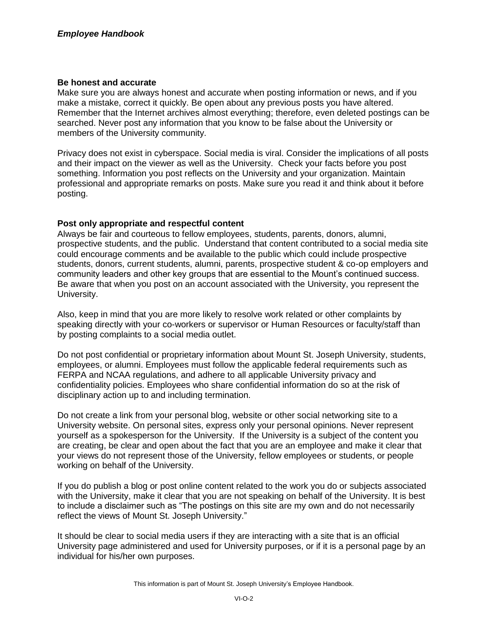#### **Be honest and accurate**

Make sure you are always honest and accurate when posting information or news, and if you make a mistake, correct it quickly. Be open about any previous posts you have altered. Remember that the Internet archives almost everything; therefore, even deleted postings can be searched. Never post any information that you know to be false about the University or members of the University community.

Privacy does not exist in cyberspace. Social media is viral. Consider the implications of all posts and their impact on the viewer as well as the University. Check your facts before you post something. Information you post reflects on the University and your organization. Maintain professional and appropriate remarks on posts. Make sure you read it and think about it before posting.

# **Post only appropriate and respectful content**

Always be fair and courteous to fellow employees, students, parents, donors, alumni, prospective students, and the public. Understand that content contributed to a social media site could encourage comments and be available to the public which could include prospective students, donors, current students, alumni, parents, prospective student & co-op employers and community leaders and other key groups that are essential to the Mount's continued success. Be aware that when you post on an account associated with the University, you represent the University.

Also, keep in mind that you are more likely to resolve work related or other complaints by speaking directly with your co-workers or supervisor or Human Resources or faculty/staff than by posting complaints to a social media outlet.

Do not post confidential or proprietary information about Mount St. Joseph University, students, employees, or alumni. Employees must follow the applicable federal requirements such as FERPA and NCAA regulations, and adhere to all applicable University privacy and confidentiality policies. Employees who share confidential information do so at the risk of disciplinary action up to and including termination.

Do not create a link from your personal blog, website or other social networking site to a University website. On personal sites, express only your personal opinions. Never represent yourself as a spokesperson for the University. If the University is a subject of the content you are creating, be clear and open about the fact that you are an employee and make it clear that your views do not represent those of the University, fellow employees or students, or people working on behalf of the University.

If you do publish a blog or post online content related to the work you do or subjects associated with the University, make it clear that you are not speaking on behalf of the University. It is best to include a disclaimer such as "The postings on this site are my own and do not necessarily reflect the views of Mount St. Joseph University."

It should be clear to social media users if they are interacting with a site that is an official University page administered and used for University purposes, or if it is a personal page by an individual for his/her own purposes.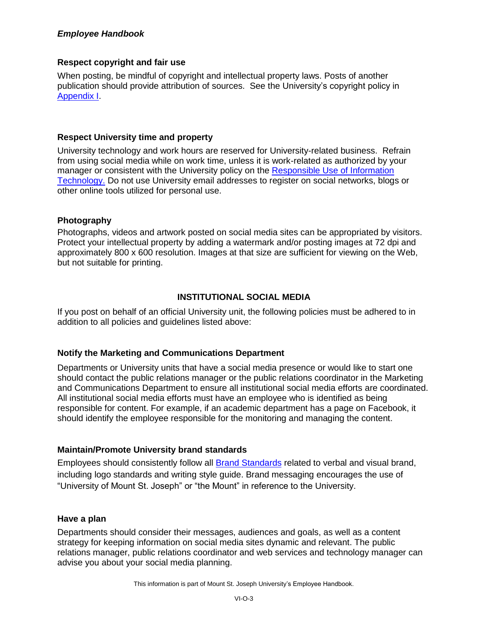## *Employee Handbook*

## **Respect copyright and fair use**

When posting, be mindful of copyright and intellectual property laws. Posts of another publication should provide attribution of sources. See the University's copyright policy in [Appendix I.](https://mymount.msj.edu/ICS/icsfs/I-Policy_on_Copyright_Compliance.pdf?target=d2485492-b1d2-4341-913c-84cb2b008635)

### **Respect University time and property**

University technology and work hours are reserved for University-related business. Refrain from using social media while on work time, unless it is work-related as authorized by your manager or consistent with the University policy on the Responsible Use of Information [Technology.](https://mymount.msj.edu/ICS/icsfs/Responsible_Use_of_Information_Technology.pdf?target=e3c1f82d-4a6b-4db1-8c1c-631a2cb92064) Do not use University email addresses to register on social networks, blogs or other online tools utilized for personal use.

### **Photography**

Photographs, videos and artwork posted on social media sites can be appropriated by visitors. Protect your intellectual property by adding a watermark and/or posting images at 72 dpi and approximately 800 x 600 resolution. Images at that size are sufficient for viewing on the Web, but not suitable for printing.

### **INSTITUTIONAL SOCIAL MEDIA**

If you post on behalf of an official University unit, the following policies must be adhered to in addition to all policies and guidelines listed above:

# **Notify the Marketing and Communications Department**

Departments or University units that have a social media presence or would like to start one should contact the public relations manager or the public relations coordinator in the Marketing and Communications Department to ensure all institutional social media efforts are coordinated. All institutional social media efforts must have an employee who is identified as being responsible for content. For example, if an academic department has a page on Facebook, it should identify the employee responsible for the monitoring and managing the content.

# **Maintain/Promote University brand standards**

Employees should consistently follow all [Brand Standards](https://mymount.msj.edu/ICS/Info_and_Policies/Brand_Standards.jnz) related to verbal and visual brand, including logo standards and writing style guide. Brand messaging encourages the use of "University of Mount St. Joseph" or "the Mount" in reference to the University.

#### **Have a plan**

Departments should consider their messages, audiences and goals, as well as a content strategy for keeping information on social media sites dynamic and relevant. The public relations manager, public relations coordinator and web services and technology manager can advise you about your social media planning.